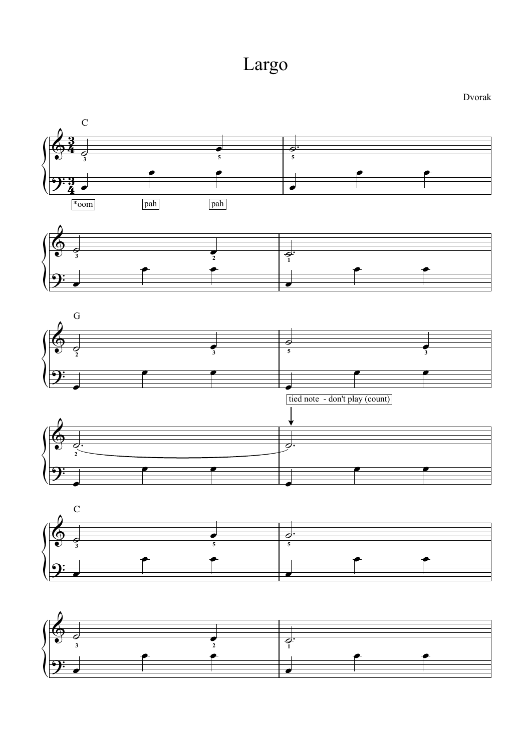



 $\frac{1}{\sigma}$  $\overline{2}$ 

Dvorak